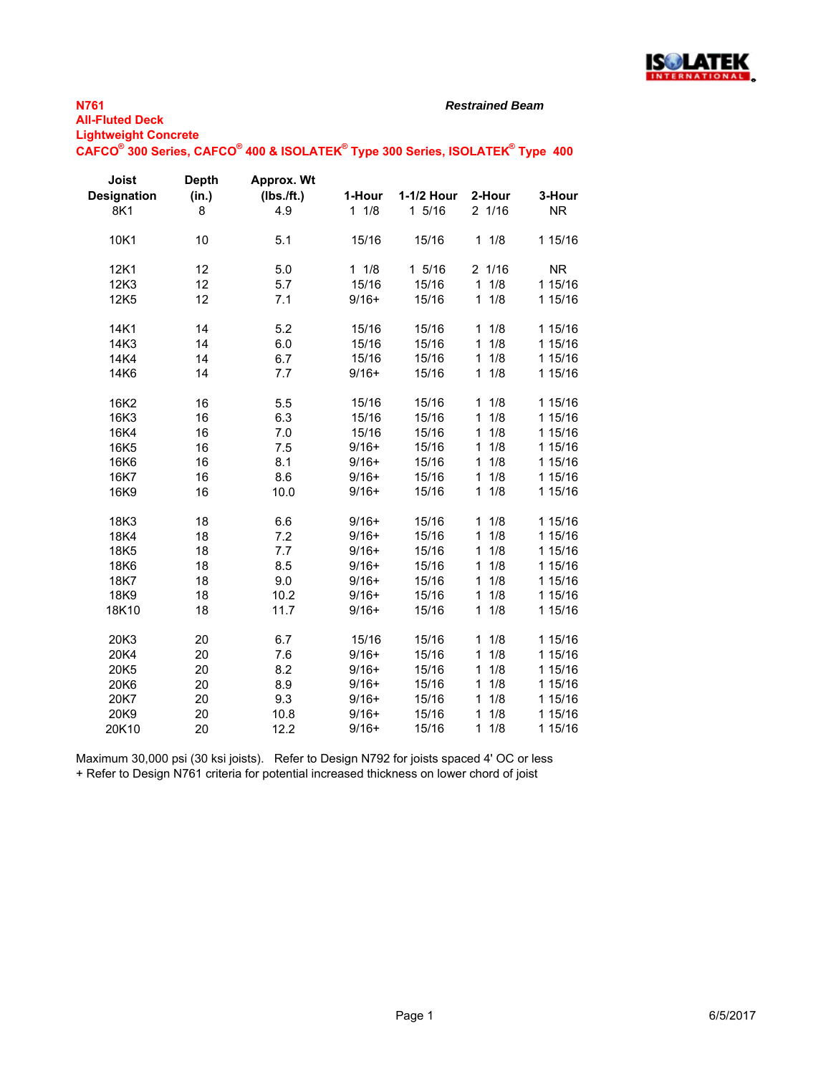

## **N761 All-Fluted Deck**

*Restrained Beam*

**Lightweight Concrete**

 $\mathsf{CAFCO}^\circ$  300 Series,  $\mathsf{CAFCO}^\circ$  400 & ISOLATEK $^\circ$  Type 300 Series, ISOLATEK $^\circ$  Type 400

| Joist              | <b>Depth</b> | Approx. Wt |           |            |                     |           |
|--------------------|--------------|------------|-----------|------------|---------------------|-----------|
| <b>Designation</b> | (in.)        | (Ibs./ft.) | 1-Hour    | 1-1/2 Hour | 2-Hour              | 3-Hour    |
| 8K1                | 8            | 4.9        | 11/8      | 15/16      | 2 1/16              | <b>NR</b> |
| 10K1               | 10           | 5.1        | 15/16     | 15/16      | 11/8                | 1 15/16   |
| 12K1               | 12           | 5.0        | $1 \t1/8$ | 1 5/16     | 2 1/16              | <b>NR</b> |
| 12K3               | 12           | 5.7        | 15/16     | 15/16      | 11/8                | 1 15/16   |
| 12K5               | 12           | 7.1        | $9/16+$   | 15/16      | 11/8                | 1 15/16   |
| 14K1               | 14           | 5.2        | 15/16     | 15/16      | 11/8                | 1 15/16   |
| 14K3               | 14           | 6.0        | 15/16     | 15/16      | 11/8                | 1 15/16   |
| 14K4               | 14           | 6.7        | 15/16     | 15/16      | 11/8                | 1 15/16   |
| 14K6               | 14           | 7.7        | $9/16+$   | 15/16      | 11/8                | 1 15/16   |
| 16K2               | 16           | 5.5        | 15/16     | 15/16      | 11/8                | 1 15/16   |
| 16K3               | 16           | 6.3        | 15/16     | 15/16      | 1/8<br>$\mathbf{1}$ | 1 15/16   |
| 16K4               | 16           | 7.0        | 15/16     | 15/16      | 1/8<br>$\mathbf{1}$ | 1 15/16   |
| 16K5               | 16           | 7.5        | $9/16+$   | 15/16      | 1/8<br>1            | 1 15/16   |
| 16K6               | 16           | 8.1        | $9/16+$   | 15/16      | 1/8<br>1            | 1 15/16   |
| 16K7               | 16           | 8.6        | $9/16+$   | 15/16      | 1<br>1/8            | 1 15/16   |
| 16K9               | 16           | 10.0       | $9/16+$   | 15/16      | $\mathbf 1$<br>1/8  | 1 15/16   |
| 18K3               | 18           | 6.6        | $9/16+$   | 15/16      | 1/8<br>1            | 1 15/16   |
| 18K4               | 18           | 7.2        | $9/16+$   | 15/16      | 1/8<br>1            | 1 15/16   |
| 18K5               | 18           | 7.7        | $9/16+$   | 15/16      | 1/8<br>1            | 1 15/16   |
| 18K6               | 18           | 8.5        | $9/16+$   | 15/16      | 1/8<br>1            | 1 15/16   |
| 18K7               | 18           | 9.0        | $9/16+$   | 15/16      | 1/8<br>$\mathbf{1}$ | 1 15/16   |
| 18K9               | 18           | 10.2       | $9/16+$   | 15/16      | 1/8<br>$\mathbf{1}$ | 1 15/16   |
| 18K10              | 18           | 11.7       | $9/16+$   | 15/16      | 11/8                | 1 15/16   |
| 20K3               | 20           | 6.7        | 15/16     | 15/16      | 1/8<br>$\mathbf 1$  | 1 15/16   |
| 20K4               | 20           | 7.6        | $9/16+$   | 15/16      | 1/8<br>1            | 1 15/16   |
| 20K5               | 20           | 8.2        | $9/16+$   | 15/16      | 1/8<br>1            | 1 15/16   |
| 20K6               | 20           | 8.9        | $9/16+$   | 15/16      | 1/8<br>1            | 1 15/16   |
| 20K7               | 20           | 9.3        | $9/16+$   | 15/16      | 1/8<br>1            | 1 15/16   |
| 20K9               | 20           | 10.8       | $9/16+$   | 15/16      | 1/8<br>$\mathbf{1}$ | 1 15/16   |
| 20K10              | 20           | 12.2       | $9/16+$   | 15/16      | 11/8                | 1 15/16   |

Maximum 30,000 psi (30 ksi joists). Refer to Design N792 for joists spaced 4' OC or less + Refer to Design N761 criteria for potential increased thickness on lower chord of joist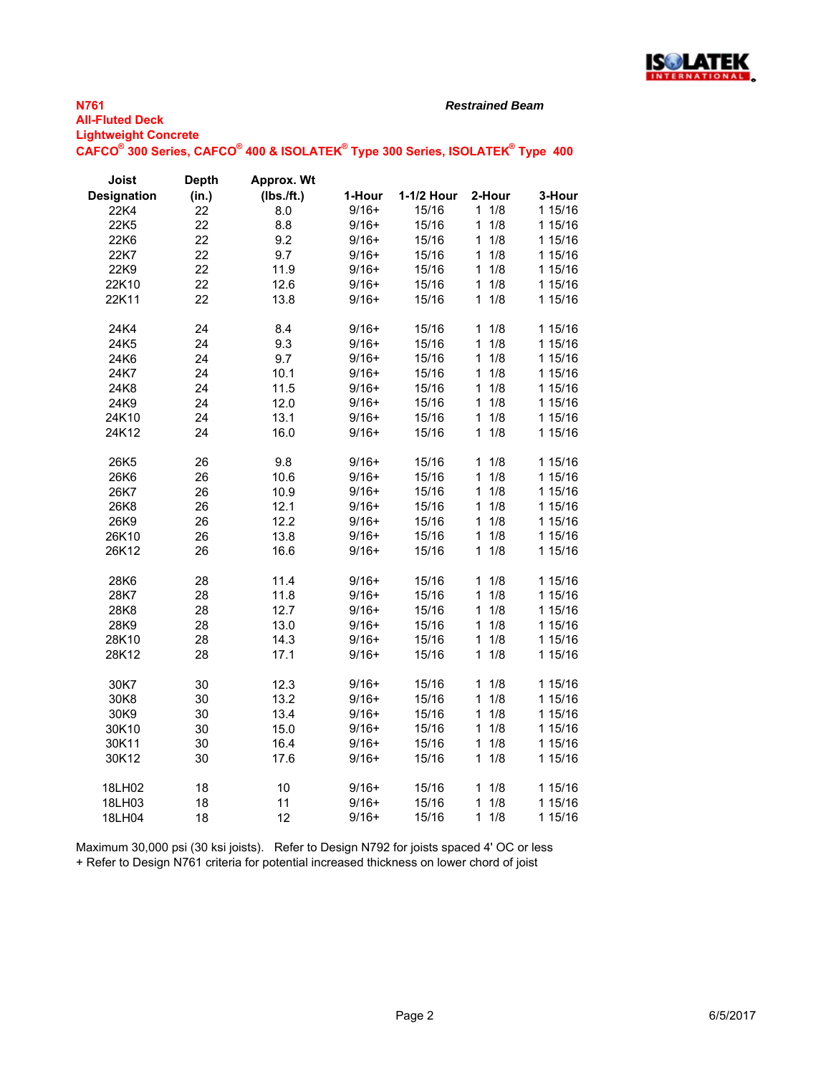

**3-Hour** 1 15/16

*Restrained Beam*

## **N761 All-Fluted Deck Lightweight Concrete CAFCO® 300 Series, CAFCO®**

| $\mathsf{AFCO}^\circ$ 300 Series, $\mathsf{CAFCO}^\circ$ 400 & ISOLATEK $^\circ$ Type 300 Series, ISOLATEK $^\circ$ Type $\,$ 400 $\,$ |                       |                            |         |            |                 |         |
|----------------------------------------------------------------------------------------------------------------------------------------|-----------------------|----------------------------|---------|------------|-----------------|---------|
| Joist<br><b>Designation</b>                                                                                                            | <b>Depth</b><br>(in.) | Approx. Wt<br>$(Ibs.$ ft.) | 1-Hour  | 1-1/2 Hour | 2-Hour          | 3-Hour  |
| 22K4                                                                                                                                   | 22                    | 8.0                        | $9/16+$ | 15/16      | $1 \frac{1}{8}$ | 1 15/16 |
| 22K <sub>5</sub>                                                                                                                       | 22                    | 8.8                        | $9/16+$ | 15/16      | $1 \frac{1}{8}$ | 1 15/16 |
| 22K <sub>6</sub>                                                                                                                       | 22                    | 9.2                        | $9/16+$ | 15/16      | $1 \frac{1}{8}$ | 1 15/16 |
| 22K7                                                                                                                                   | 22                    | 9.7                        | $9/16+$ | 15/16      | $1 \frac{1}{8}$ | 1 15/16 |
| 22K9.                                                                                                                                  | 22                    | 11 Q                       | $9/16+$ | 15/16      | 1 $1/8$         | 1.15/16 |

| 22K/   | 22 | 9.7  | $9/10+$ | 15/16 | 1 1/8               | 115/16  |
|--------|----|------|---------|-------|---------------------|---------|
| 22K9   | 22 | 11.9 | $9/16+$ | 15/16 | 11/8                | 1 15/16 |
| 22K10  | 22 | 12.6 | $9/16+$ | 15/16 | 11/8                | 1 15/16 |
| 22K11  | 22 | 13.8 | $9/16+$ | 15/16 | 11/8                | 1 15/16 |
|        |    |      |         |       |                     |         |
| 24K4   | 24 | 8.4  | $9/16+$ | 15/16 | 11/8                | 1 15/16 |
| 24K5   | 24 | 9.3  | $9/16+$ | 15/16 | 1/8<br>$\mathbf{1}$ | 1 15/16 |
| 24K6   | 24 | 9.7  | $9/16+$ | 15/16 | 1/8<br>$\mathbf{1}$ | 1 15/16 |
| 24K7   | 24 | 10.1 | $9/16+$ | 15/16 | 11/8                | 1 15/16 |
| 24K8   | 24 | 11.5 | $9/16+$ | 15/16 | 11/8                | 1 15/16 |
| 24K9   | 24 | 12.0 | $9/16+$ | 15/16 | 11/8                | 1 15/16 |
| 24K10  | 24 | 13.1 | $9/16+$ | 15/16 | 11/8                | 1 15/16 |
| 24K12  | 24 | 16.0 | $9/16+$ | 15/16 | 11/8                | 1 15/16 |
|        |    |      |         |       |                     |         |
| 26K5   | 26 | 9.8  | $9/16+$ | 15/16 | 11/8                | 1 15/16 |
| 26K6   | 26 | 10.6 | $9/16+$ | 15/16 | 1/8<br>$\mathbf{1}$ | 1 15/16 |
| 26K7   | 26 | 10.9 | $9/16+$ | 15/16 | 1/8<br>$\mathbf{1}$ | 1 15/16 |
| 26K8   | 26 | 12.1 | $9/16+$ | 15/16 | 11/8                | 1 15/16 |
| 26K9   | 26 | 12.2 | $9/16+$ | 15/16 | 11/8                | 1 15/16 |
| 26K10  | 26 | 13.8 | $9/16+$ | 15/16 | 11/8                | 1 15/16 |
| 26K12  | 26 | 16.6 | $9/16+$ | 15/16 | 11/8                | 1 15/16 |
|        |    |      |         |       |                     |         |
| 28K6   | 28 | 11.4 | $9/16+$ | 15/16 | 11/8                | 1 15/16 |
| 28K7   | 28 | 11.8 | $9/16+$ | 15/16 | 1/8<br>$\mathbf{1}$ | 1 15/16 |
| 28K8   | 28 | 12.7 | $9/16+$ | 15/16 | 11/8                | 1 15/16 |
| 28K9   | 28 | 13.0 | $9/16+$ | 15/16 | 11/8                | 1 15/16 |
| 28K10  | 28 | 14.3 | $9/16+$ | 15/16 | 11/8                | 1 15/16 |
| 28K12  | 28 | 17.1 | $9/16+$ | 15/16 | 11/8                | 1 15/16 |
|        |    |      |         |       |                     |         |
| 30K7   | 30 | 12.3 | $9/16+$ | 15/16 | 11/8                | 1 15/16 |
| 30K8   | 30 | 13.2 | $9/16+$ | 15/16 | 11/8                | 1 15/16 |
| 30K9   | 30 | 13.4 | $9/16+$ | 15/16 | 11/8                | 1 15/16 |
| 30K10  | 30 | 15.0 | $9/16+$ | 15/16 | 11/8                | 1 15/16 |
| 30K11  | 30 | 16.4 | $9/16+$ | 15/16 | 11/8                | 1 15/16 |
| 30K12  | 30 | 17.6 | $9/16+$ | 15/16 | 11/8                | 1 15/16 |
|        |    |      |         |       |                     |         |
| 18LH02 | 18 | 10   | $9/16+$ | 15/16 | 11/8                | 1 15/16 |
| 18LH03 | 18 | 11   | $9/16+$ | 15/16 | 11/8                | 1 15/16 |
| 18LH04 | 18 | 12   | $9/16+$ | 15/16 | 11/8                | 1 15/16 |
|        |    |      |         |       |                     |         |

Maximum 30,000 psi (30 ksi joists). Refer to Design N792 for joists spaced 4' OC or less + Refer to Design N761 criteria for potential increased thickness on lower chord of joist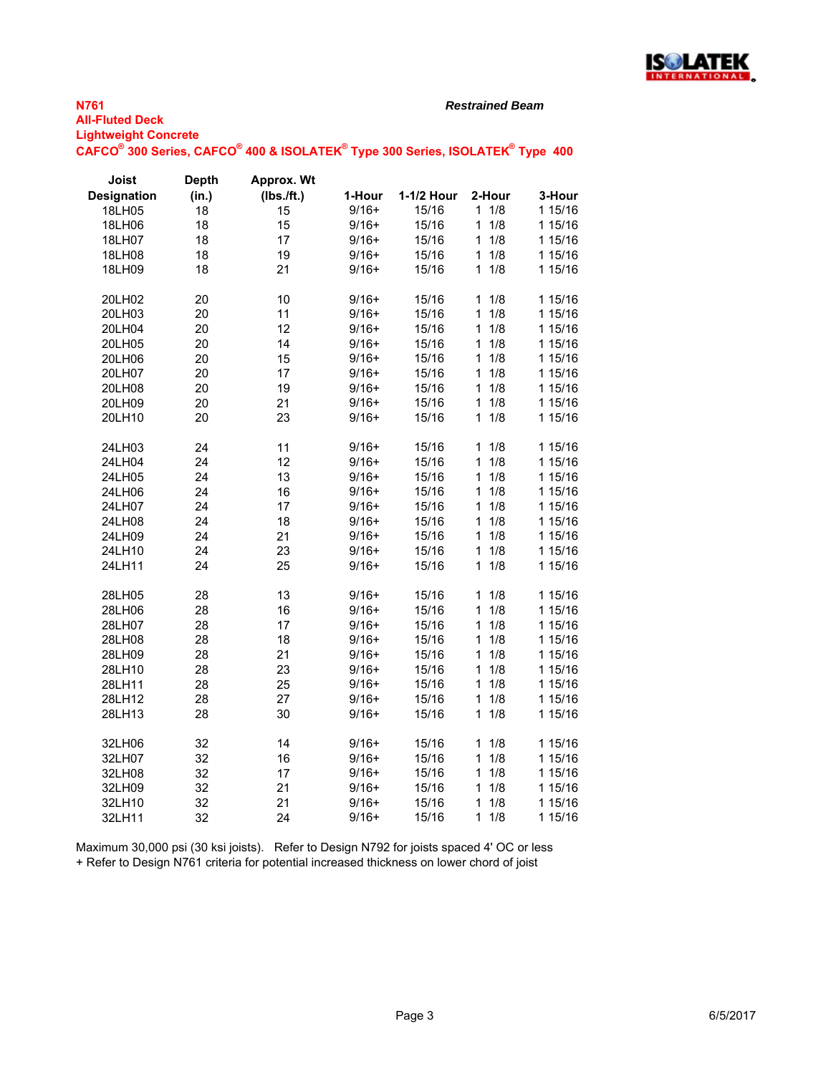

## **N761 All-Fluted Deck Lightweight Concrete**

*Restrained Beam*

 $\mathsf{CAFCO}^\circ$  300 Series,  $\mathsf{CAFCO}^\circ$  400 & ISOLATEK $^\circ$  Type 300 Series, ISOLATEK $^\circ$  Type 400

| Joist              | <b>Depth</b> | <b>Approx. Wt</b> |         |            |                     |         |
|--------------------|--------------|-------------------|---------|------------|---------------------|---------|
| <b>Designation</b> | (in.)        | (Ibs./ft.)        | 1-Hour  | 1-1/2 Hour | 2-Hour              | 3-Hour  |
| 18LH05             | 18           | 15                | $9/16+$ | 15/16      | 11/8                | 1 15/16 |
| 18LH06             | 18           | 15                | $9/16+$ | 15/16      | $\mathbf{1}$<br>1/8 | 1 15/16 |
| 18LH07             | 18           | 17                | $9/16+$ | 15/16      | 1/8<br>1            | 1 15/16 |
| 18LH08             | 18           | 19                | $9/16+$ | 15/16      | 1/8<br>1            | 1 15/16 |
| 18LH09             | 18           | 21                | $9/16+$ | 15/16      | 1/8<br>1            | 1 15/16 |
| 20LH02             | 20           | 10                | $9/16+$ | 15/16      | 1/8<br>1            | 1 15/16 |
| 20LH03             | 20           | 11                | $9/16+$ | 15/16      | 1/8<br>1            | 1 15/16 |
| 20LH04             | 20           | 12                | $9/16+$ | 15/16      | 1/8<br>$\mathbf{1}$ | 1 15/16 |
| 20LH05             | 20           | 14                | $9/16+$ | 15/16      | 1/8<br>1            | 1 15/16 |
| 20LH06             | 20           | 15                | $9/16+$ | 15/16      | 1/8<br>1            | 1 15/16 |
| 20LH07             | 20           | 17                | $9/16+$ | 15/16      | 1/8<br>$\mathbf{1}$ | 1 15/16 |
| 20LH08             | 20           | 19                | $9/16+$ | 15/16      | 1/8<br>$\mathbf{1}$ | 1 15/16 |
| 20LH09             | 20           | 21                | $9/16+$ | 15/16      | 1/8<br>1            | 1 15/16 |
| 20LH10             | 20           | 23                | $9/16+$ | 15/16      | 1<br>1/8            | 1 15/16 |
| 24LH03             | 24           | 11                | $9/16+$ | 15/16      | 1/8<br>1            | 1 15/16 |
| 24LH04             | 24           | 12                | $9/16+$ | 15/16      | 1/8<br>$\mathbf{1}$ | 1 15/16 |
| 24LH05             | 24           | 13                | $9/16+$ | 15/16      | 1/8<br>$\mathbf{1}$ | 1 15/16 |
| 24LH06             | 24           | 16                | $9/16+$ | 15/16      | 1/8<br>1            | 1 15/16 |
| 24LH07             | 24           | 17                | $9/16+$ | 15/16      | 1/8<br>1            | 1 15/16 |
| 24LH08             | 24           | 18                | $9/16+$ | 15/16      | 1/8<br>1            | 1 15/16 |
| 24LH09             | 24           | 21                | $9/16+$ | 15/16      | $\mathbf{1}$<br>1/8 | 1 15/16 |
| 24LH10             | 24           | 23                | $9/16+$ | 15/16      | 1/8<br>1            | 1 15/16 |
| 24LH11             | 24           | 25                | $9/16+$ | 15/16      | 1/8<br>$\mathbf{1}$ | 1 15/16 |
| 28LH05             | 28           | 13                | $9/16+$ | 15/16      | 1/8<br>1            | 1 15/16 |
| 28LH06             | 28           | 16                | $9/16+$ | 15/16      | 1/8<br>1            | 1 15/16 |
| 28LH07             | 28           | 17                | $9/16+$ | 15/16      | 1/8<br>1            | 1 15/16 |
| 28LH08             | 28           | 18                | $9/16+$ | 15/16      | $\mathbf{1}$<br>1/8 | 1 15/16 |
| 28LH09             | 28           | 21                | $9/16+$ | 15/16      | 1/8<br>1            | 1 15/16 |
| 28LH10             | 28           | 23                | $9/16+$ | 15/16      | 1/8<br>1            | 1 15/16 |
| 28LH11             | 28           | 25                | $9/16+$ | 15/16      | 1/8<br>$\mathbf{1}$ | 1 15/16 |
| 28LH12             | 28           | 27                | $9/16+$ | 15/16      | 1/8<br>1            | 1 15/16 |
| 28LH13             | 28           | 30                | $9/16+$ | 15/16      | 1/8<br>1            | 1 15/16 |
| 32LH06             | 32           | 14                | $9/16+$ | 15/16      | 1/8<br>1            | 1 15/16 |
| 32LH07             | 32           | 16                | $9/16+$ | 15/16      | 1/8<br>1            | 1 15/16 |
| 32LH08             | 32           | 17                | $9/16+$ | 15/16      | 1/8<br>$\mathbf{1}$ | 1 15/16 |
| 32LH09             | 32           | 21                | $9/16+$ | 15/16      | $\mathbf{1}$<br>1/8 | 1 15/16 |
| 32LH10             | 32           | 21                | $9/16+$ | 15/16      | 1/8<br>1            | 1 15/16 |
| 32LH11             | 32           | 24                | $9/16+$ | 15/16      | 1<br>1/8            | 1 15/16 |

Maximum 30,000 psi (30 ksi joists). Refer to Design N792 for joists spaced 4' OC or less + Refer to Design N761 criteria for potential increased thickness on lower chord of joist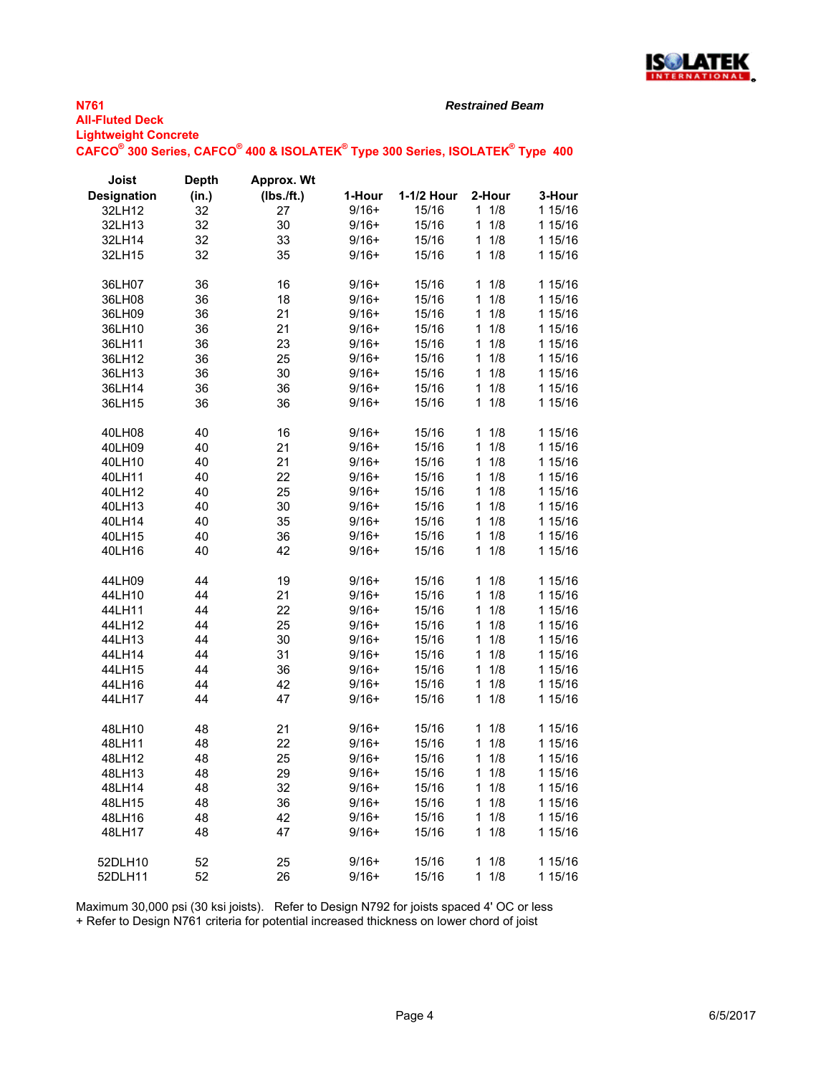

**N761 All-Fluted Deck** *Restrained Beam*

**Lightweight Concrete**  $\mathsf{CAFCO}^\circ$  300 Series,  $\mathsf{CAFCO}^\circ$  400 & ISOLATEK $^\circ$  Type 300 Series, ISOLATEK $^\circ$  Type 400

| Joist              | <b>Depth</b> | Approx. Wt |         |            |                     |         |
|--------------------|--------------|------------|---------|------------|---------------------|---------|
| <b>Designation</b> | (in.)        | (Ibs./ft.) | 1-Hour  | 1-1/2 Hour | 2-Hour              | 3-Hour  |
| 32LH12             | 32           | 27         | $9/16+$ | 15/16      | 11/8                | 1 15/16 |
| 32LH13             | 32           | 30         | $9/16+$ | 15/16      | 1/8<br>$\mathbf{1}$ | 1 15/16 |
| 32LH14             | 32           | 33         | $9/16+$ | 15/16      | $\mathbf{1}$<br>1/8 | 1 15/16 |
| 32LH15             | 32           | 35         | $9/16+$ | 15/16      | 1/8<br>$\mathbf{1}$ | 1 15/16 |
| 36LH07             | 36           | 16         | $9/16+$ | 15/16      | 11/8                | 1 15/16 |
| 36LH08             | 36           | 18         | $9/16+$ | 15/16      | 1/8<br>1            | 1 15/16 |
| 36LH09             | 36           | 21         | $9/16+$ | 15/16      | 1/8<br>$\mathbf{1}$ | 1 15/16 |
| 36LH10             | 36           | 21         | $9/16+$ | 15/16      | 1/8<br>$\mathbf{1}$ | 1 15/16 |
| 36LH11             | 36           | 23         | $9/16+$ | 15/16      | 1/8<br>1            | 1 15/16 |
| 36LH12             | 36           | 25         | $9/16+$ | 15/16      | 1/8<br>$\mathbf{1}$ | 1 15/16 |
| 36LH13             | 36           | 30         | $9/16+$ | 15/16      | 1/8<br>$\mathbf{1}$ | 1 15/16 |
| 36LH14             | 36           | 36         | $9/16+$ | 15/16      | 1/8<br>$\mathbf{1}$ | 1 15/16 |
| 36LH15             | 36           | 36         | $9/16+$ | 15/16      | 1/8<br>$\mathbf{1}$ | 1 15/16 |
| 40LH08             | 40           | 16         | $9/16+$ | 15/16      | 1/8<br>1            | 1 15/16 |
| 40LH09             | 40           | 21         | $9/16+$ | 15/16      | $\mathbf{1}$<br>1/8 | 1 15/16 |
| 40LH10             | 40           | 21         | $9/16+$ | 15/16      | 1/8<br>1            | 1 15/16 |
| 40LH11             | 40           | 22         | $9/16+$ | 15/16      | 1/8<br>$\mathbf{1}$ | 1 15/16 |
| 40LH12             | 40           | 25         | $9/16+$ | 15/16      | 1/8<br>$\mathbf{1}$ | 1 15/16 |
| 40LH13             | 40           | 30         | $9/16+$ | 15/16      | 1/8<br>$\mathbf{1}$ | 1 15/16 |
| 40LH14             | 40           | 35         | $9/16+$ | 15/16      | 1/8<br>$\mathbf{1}$ | 1 15/16 |
| 40LH15             | 40           | 36         | $9/16+$ | 15/16      | 1/8<br>1            | 1 15/16 |
| 40LH16             | 40           | 42         | $9/16+$ | 15/16      | 1/8<br>1            | 1 15/16 |
| 44LH09             | 44           | 19         | $9/16+$ | 15/16      | 1/8<br>1            | 1 15/16 |
| 44LH10             | 44           | 21         | $9/16+$ | 15/16      | 1/8<br>$\mathbf{1}$ | 1 15/16 |
| 44LH11             | 44           | 22         | $9/16+$ | 15/16      | 1/8<br>$\mathbf{1}$ | 1 15/16 |
| 44LH12             | 44           | 25         | $9/16+$ | 15/16      | 1/8<br>$\mathbf{1}$ | 1 15/16 |
| 44LH13             | 44           | 30         | $9/16+$ | 15/16      | 1/8<br>$\mathbf{1}$ | 1 15/16 |
| 44LH14             | 44           | 31         | $9/16+$ | 15/16      | 1/8<br>1            | 1 15/16 |
| 44LH15             | 44           | 36         | $9/16+$ | 15/16      | 1/8<br>$\mathbf{1}$ | 1 15/16 |
| 44LH16             | 44           | 42         | $9/16+$ | 15/16      | 1/8<br>$\mathbf{1}$ | 1 15/16 |
| 44LH17             | 44           | 47         | $9/16+$ | 15/16      | 1/8<br>1            | 1 15/16 |
| 48LH10             | 48           | 21         | $9/16+$ | 15/16      | 1/8<br>$\mathbf{1}$ | 1 15/16 |
| 48LH11             | 48           | 22         | $9/16+$ | 15/16      | 1/8<br>$\mathbf{1}$ | 1 15/16 |
| 48LH12             | 48           | 25         | $9/16+$ | 15/16      | 1/8<br>1            | 1 15/16 |
| 48LH13             | 48           | 29         | $9/16+$ | 15/16      | $1 \t1/8$           | 1 15/16 |
| 48LH14             | 48           | 32         | $9/16+$ | 15/16      | $1 \t1/8$           | 1 15/16 |
| 48LH15             | 48           | 36         | $9/16+$ | 15/16      | 1/8<br>1.           | 1 15/16 |
| 48LH16             | 48           | 42         | $9/16+$ | 15/16      | 1/8<br>$\mathbf 1$  | 1 15/16 |
| 48LH17             | 48           | 47         | $9/16+$ | 15/16      | 1/8<br>1            | 1 15/16 |
| 52DLH10            | 52           | 25         | $9/16+$ | 15/16      | 11/8                | 1 15/16 |
| 52DLH11            | 52           | 26         | $9/16+$ | 15/16      | 1/8<br>1            | 1 15/16 |

Maximum 30,000 psi (30 ksi joists). Refer to Design N792 for joists spaced 4' OC or less

+ Refer to Design N761 criteria for potential increased thickness on lower chord of joist